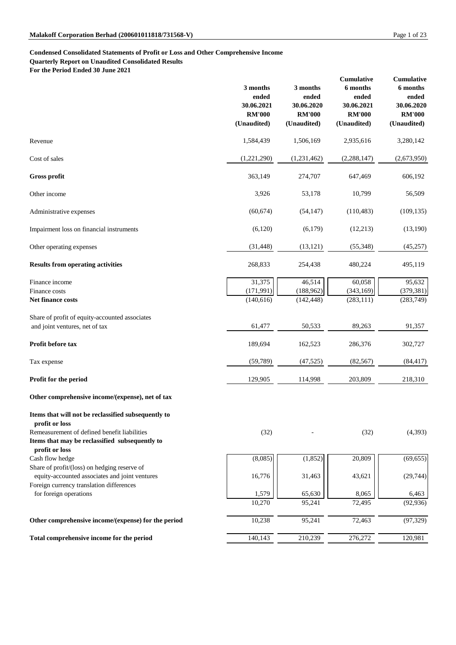# **Condensed Consolidated Statements of Profit or Loss and Other Comprehensive Income**

**Quarterly Report on Unaudited Consolidated Results**

**For the Period Ended 30 June 2021**

|                                                                                                | 3 months<br>ended<br>30.06.2021<br><b>RM'000</b><br>(Unaudited) | 3 months<br>ended<br>30.06.2020<br><b>RM'000</b><br>(Unaudited) | <b>Cumulative</b><br>6 months<br>ended<br>30.06.2021<br><b>RM'000</b><br>(Unaudited) | <b>Cumulative</b><br>6 months<br>ended<br>30.06.2020<br><b>RM'000</b><br>(Unaudited) |
|------------------------------------------------------------------------------------------------|-----------------------------------------------------------------|-----------------------------------------------------------------|--------------------------------------------------------------------------------------|--------------------------------------------------------------------------------------|
| Revenue                                                                                        | 1,584,439                                                       | 1,506,169                                                       | 2,935,616                                                                            | 3,280,142                                                                            |
| Cost of sales                                                                                  | (1,221,290)                                                     | (1,231,462)                                                     | (2, 288, 147)                                                                        | (2,673,950)                                                                          |
| <b>Gross profit</b>                                                                            | 363,149                                                         | 274,707                                                         | 647,469                                                                              | 606,192                                                                              |
| Other income                                                                                   | 3,926                                                           | 53,178                                                          | 10,799                                                                               | 56,509                                                                               |
| Administrative expenses                                                                        | (60, 674)                                                       | (54, 147)                                                       | (110, 483)                                                                           | (109, 135)                                                                           |
| Impairment loss on financial instruments                                                       | (6,120)                                                         | (6,179)                                                         | (12,213)                                                                             | (13,190)                                                                             |
| Other operating expenses                                                                       | (31, 448)                                                       | (13, 121)                                                       | (55, 348)                                                                            | (45, 257)                                                                            |
| <b>Results from operating activities</b>                                                       | 268,833                                                         | 254,438                                                         | 480,224                                                                              | 495,119                                                                              |
| Finance income                                                                                 | 31,375                                                          | 46,514                                                          | 60,058                                                                               | 95,632                                                                               |
| Finance costs                                                                                  | (171, 991)                                                      | (188, 962)                                                      | (343, 169)                                                                           | (379, 381)                                                                           |
| Net finance costs                                                                              | (140, 616)                                                      | (142, 448)                                                      | (283, 111)                                                                           | (283,749)                                                                            |
| Share of profit of equity-accounted associates                                                 |                                                                 |                                                                 |                                                                                      |                                                                                      |
| and joint ventures, net of tax                                                                 | 61,477                                                          | 50,533                                                          | 89,263                                                                               | 91,357                                                                               |
| Profit before tax                                                                              | 189,694                                                         | 162,523                                                         | 286,376                                                                              | 302,727                                                                              |
| Tax expense                                                                                    | (59,789)                                                        | (47, 525)                                                       | (82, 567)                                                                            | (84, 417)                                                                            |
| Profit for the period                                                                          | 129,905                                                         | 114,998                                                         | 203,809                                                                              | 218,310                                                                              |
| Other comprehensive income/(expense), net of tax                                               |                                                                 |                                                                 |                                                                                      |                                                                                      |
| Items that will not be reclassified subsequently to                                            |                                                                 |                                                                 |                                                                                      |                                                                                      |
| profit or loss                                                                                 |                                                                 |                                                                 |                                                                                      |                                                                                      |
| Remeasurement of defined benefit liabilities<br>Items that may be reclassified subsequently to | (32)                                                            |                                                                 | (32)                                                                                 | (4,393)                                                                              |
| profit or loss<br>Cash flow hedge                                                              | (8,085)                                                         | (1, 852)                                                        | 20,809                                                                               | (69, 655)                                                                            |
| Share of profit/(loss) on hedging reserve of                                                   |                                                                 |                                                                 |                                                                                      |                                                                                      |
| equity-accounted associates and joint ventures                                                 | 16,776                                                          | 31,463                                                          | 43,621                                                                               | (29, 744)                                                                            |
| Foreign currency translation differences                                                       |                                                                 |                                                                 |                                                                                      |                                                                                      |
| for foreign operations                                                                         | 1,579<br>10,270                                                 | 65,630<br>95,241                                                | 8,065<br>72,495                                                                      | 6,463<br>(92, 936)                                                                   |
|                                                                                                |                                                                 |                                                                 |                                                                                      |                                                                                      |
| Other comprehensive income/(expense) for the period                                            | 10,238                                                          | 95,241                                                          | 72,463                                                                               | (97, 329)                                                                            |
| Total comprehensive income for the period                                                      | 140,143                                                         | 210,239                                                         | 276,272                                                                              | 120,981                                                                              |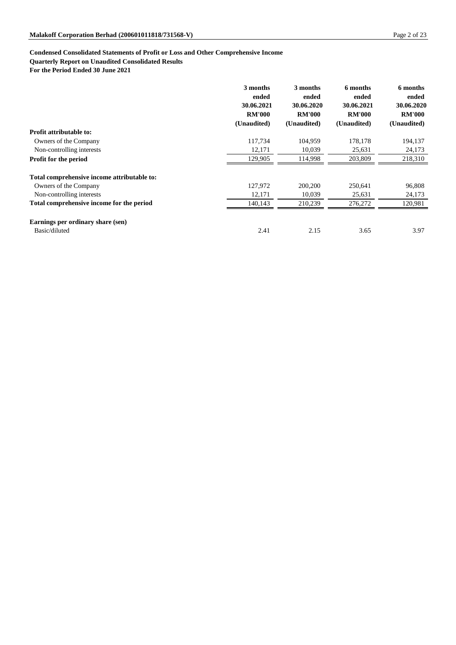# **Condensed Consolidated Statements of Profit or Loss and Other Comprehensive Income**

### **Quarterly Report on Unaudited Consolidated Results**

**For the Period Ended 30 June 2021**

|                                             | 3 months<br>ended | 3 months<br>ended | 6 months<br>ended | 6 months<br>ended |
|---------------------------------------------|-------------------|-------------------|-------------------|-------------------|
|                                             | 30.06.2021        | 30.06.2020        | 30.06.2021        | 30.06.2020        |
|                                             | <b>RM'000</b>     | <b>RM'000</b>     | <b>RM'000</b>     | <b>RM'000</b>     |
|                                             | (Unaudited)       | (Unaudited)       | (Unaudited)       | (Unaudited)       |
| <b>Profit attributable to:</b>              |                   |                   |                   |                   |
| Owners of the Company                       | 117,734           | 104,959           | 178,178           | 194,137           |
| Non-controlling interests                   | 12,171            | 10,039            | 25,631            | 24,173            |
| <b>Profit for the period</b>                | 129,905           | 114,998           | 203,809           | 218,310           |
| Total comprehensive income attributable to: |                   |                   |                   |                   |
| Owners of the Company                       | 127,972           | 200,200           | 250,641           | 96,808            |
| Non-controlling interests                   | 12,171            | 10,039            | 25,631            | 24,173            |
| Total comprehensive income for the period   | 140,143           | 210,239           | 276,272           | 120,981           |
| Earnings per ordinary share (sen)           |                   |                   |                   |                   |
| Basic/diluted                               | 2.41              | 2.15              | 3.65              | 3.97              |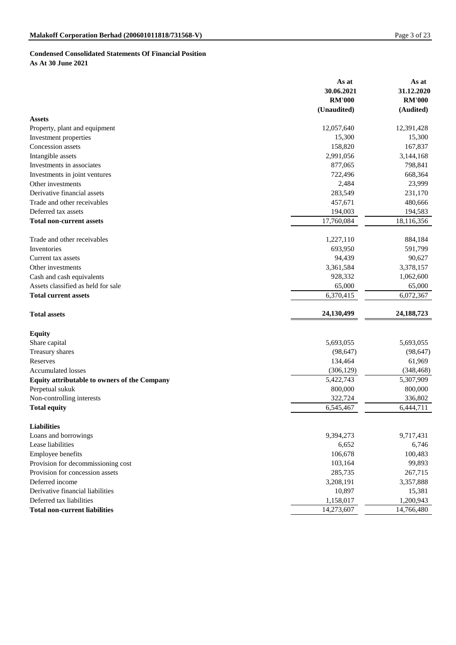# **Condensed Consolidated Statements Of Financial Position As At 30 June 2021**

|                                                                 | As at                 | As at                 |
|-----------------------------------------------------------------|-----------------------|-----------------------|
|                                                                 | 30.06.2021            | 31.12.2020            |
|                                                                 | <b>RM'000</b>         | <b>RM'000</b>         |
|                                                                 | (Unaudited)           | (Audited)             |
| <b>Assets</b>                                                   |                       |                       |
| Property, plant and equipment                                   | 12,057,640<br>15,300  | 12,391,428<br>15,300  |
| Investment properties<br>Concession assets                      | 158,820               | 167,837               |
|                                                                 | 2,991,056             | 3,144,168             |
| Intangible assets<br>Investments in associates                  | 877,065               | 798,841               |
|                                                                 | 722,496               | 668,364               |
| Investments in joint ventures<br>Other investments              | 2,484                 | 23,999                |
| Derivative financial assets                                     | 283,549               |                       |
|                                                                 |                       | 231,170               |
| Trade and other receivables                                     | 457,671               | 480,666               |
| Deferred tax assets<br><b>Total non-current assets</b>          | 194,003<br>17,760,084 | 194,583<br>18,116,356 |
|                                                                 |                       |                       |
| Trade and other receivables                                     | 1,227,110             | 884,184               |
| Inventories                                                     | 693,950               | 591,799               |
| Current tax assets                                              | 94,439                | 90,627                |
| Other investments                                               | 3,361,584             | 3,378,157             |
| Cash and cash equivalents                                       | 928,332               | 1,062,600             |
| Assets classified as held for sale                              | 65,000                | 65,000                |
| <b>Total current assets</b>                                     | 6,370,415             | 6,072,367             |
| <b>Total assets</b>                                             | 24,130,499            | 24, 188, 723          |
|                                                                 |                       |                       |
| <b>Equity</b>                                                   | 5,693,055             | 5,693,055             |
| Share capital                                                   | (98, 647)             | (98, 647)             |
| Treasury shares<br>Reserves                                     | 134,464               | 61,969                |
| <b>Accumulated losses</b>                                       | (306, 129)            | (348, 468)            |
|                                                                 | 5,422,743             | 5,307,909             |
| Equity attributable to owners of the Company<br>Perpetual sukuk | 800,000               | 800,000               |
|                                                                 | 322,724               | 336,802               |
| Non-controlling interests<br><b>Total equity</b>                | 6,545,467             | 6,444,711             |
|                                                                 |                       |                       |
| <b>Liabilities</b>                                              |                       |                       |
| Loans and borrowings                                            | 9,394,273             | 9,717,431             |
| Lease liabilities                                               | 6,652                 | 6,746                 |
| <b>Employee benefits</b>                                        | 106,678               | 100,483               |
| Provision for decommissioning cost                              | 103,164               | 99,893                |
| Provision for concession assets                                 | 285,735               | 267,715               |
| Deferred income                                                 | 3,208,191             | 3,357,888             |
| Derivative financial liabilities                                | 10,897                | 15,381                |
| Deferred tax liabilities                                        | 1,158,017             | 1,200,943             |
| <b>Total non-current liabilities</b>                            | 14,273,607            | 14,766,480            |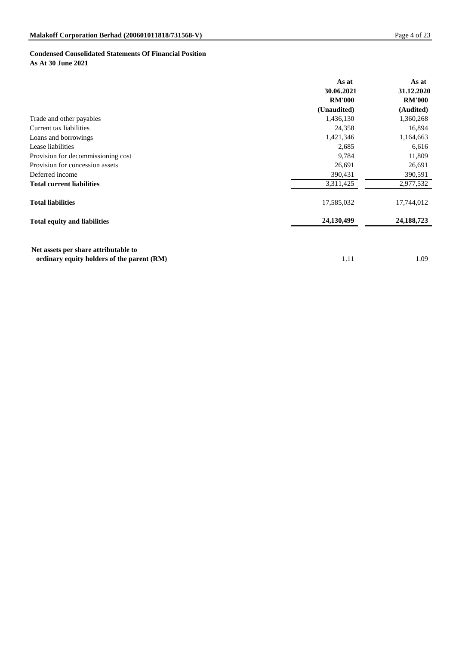# **Condensed Consolidated Statements Of Financial Position As At 30 June 2021**

|                                     | As at<br>30.06.2021<br><b>RM'000</b> | As at<br>31.12.2020<br><b>RM'000</b> |
|-------------------------------------|--------------------------------------|--------------------------------------|
|                                     | (Unaudited)                          | (Audited)                            |
| Trade and other payables            | 1,436,130                            | 1,360,268                            |
| Current tax liabilities             | 24,358                               | 16,894                               |
| Loans and borrowings                | 1,421,346                            | 1,164,663                            |
| Lease liabilities                   | 2,685                                | 6,616                                |
| Provision for decommissioning cost  | 9,784                                | 11,809                               |
| Provision for concession assets     | 26,691                               | 26,691                               |
| Deferred income                     | 390,431                              | 390,591                              |
| <b>Total current liabilities</b>    | 3,311,425                            | 2,977,532                            |
| <b>Total liabilities</b>            | 17,585,032                           | 17,744,012                           |
| <b>Total equity and liabilities</b> | 24,130,499                           | 24, 188, 723                         |

 **Net assets per share attributable to** 

**ordinary equity holders of the parent (RM)** 1.09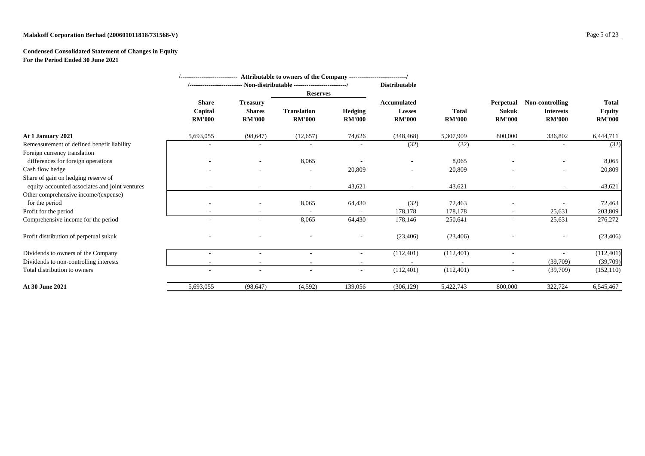# **Condensed Consolidated Statement of Changes in Equity For the Period Ended 30 June 2021**

|                                                |                                          |                                                   | /-------------------------- Attributable to owners of the Company ------------------------/ |                          |                                               |                               |                                                   |                                                      |                                                |
|------------------------------------------------|------------------------------------------|---------------------------------------------------|---------------------------------------------------------------------------------------------|--------------------------|-----------------------------------------------|-------------------------------|---------------------------------------------------|------------------------------------------------------|------------------------------------------------|
|                                                | /---------------------                   |                                                   | --- Non-distributable ------------------------/                                             |                          | <b>Distributable</b>                          |                               |                                                   |                                                      |                                                |
|                                                |                                          |                                                   | <b>Reserves</b>                                                                             |                          |                                               |                               |                                                   |                                                      |                                                |
|                                                | <b>Share</b><br>Capital<br><b>RM'000</b> | <b>Treasury</b><br><b>Shares</b><br><b>RM'000</b> | <b>Translation</b><br><b>RM'000</b>                                                         | Hedging<br><b>RM'000</b> | <b>Accumulated</b><br>Losses<br><b>RM'000</b> | <b>Total</b><br><b>RM'000</b> | <b>Perpetual</b><br><b>Sukuk</b><br><b>RM'000</b> | Non-controlling<br><b>Interests</b><br><b>RM'000</b> | <b>Total</b><br><b>Equity</b><br><b>RM'000</b> |
| At 1 January 2021                              | 5,693,055                                | (98, 647)                                         | (12, 657)                                                                                   | 74,626                   | (348, 468)                                    | 5,307,909                     | 800,000                                           | 336,802                                              | 6,444,711                                      |
| Remeasurement of defined benefit liability     |                                          |                                                   |                                                                                             |                          | (32)                                          | (32)                          |                                                   |                                                      | (32)                                           |
| Foreign currency translation                   |                                          |                                                   |                                                                                             |                          |                                               |                               |                                                   |                                                      |                                                |
| differences for foreign operations             |                                          |                                                   | 8,065                                                                                       |                          | $\overline{\phantom{a}}$                      | 8,065                         |                                                   |                                                      | 8,065                                          |
| Cash flow hedge                                |                                          |                                                   |                                                                                             | 20,809                   | $\overline{\phantom{a}}$                      | 20,809                        |                                                   | $\overline{\phantom{0}}$                             | 20,809                                         |
| Share of gain on hedging reserve of            |                                          |                                                   |                                                                                             |                          |                                               |                               |                                                   |                                                      |                                                |
| equity-accounted associates and joint ventures |                                          |                                                   | $\sim$                                                                                      | 43,621                   | $\overline{\phantom{a}}$                      | 43,621                        |                                                   | $\sim$                                               | 43,621                                         |
| Other comprehensive income/(expense)           |                                          |                                                   |                                                                                             |                          |                                               |                               |                                                   |                                                      |                                                |
| for the period                                 |                                          |                                                   | 8,065                                                                                       | 64,430                   | (32)                                          | 72,463                        |                                                   |                                                      | 72,463                                         |
| Profit for the period                          |                                          |                                                   |                                                                                             |                          | 178,178                                       | 178,178                       |                                                   | 25,631                                               | 203,809                                        |
| Comprehensive income for the period            |                                          | $\overline{\phantom{a}}$                          | 8,065                                                                                       | 64,430                   | 178,146                                       | 250,641                       |                                                   | 25,631                                               | 276,272                                        |
| Profit distribution of perpetual sukuk         |                                          |                                                   |                                                                                             | $\overline{\phantom{a}}$ | (23, 406)                                     | (23, 406)                     |                                                   |                                                      | (23, 406)                                      |
| Dividends to owners of the Company             |                                          |                                                   |                                                                                             |                          | (112,401)                                     | (112,401)                     |                                                   |                                                      | (112,401)                                      |
| Dividends to non-controlling interests         |                                          | $\overline{\phantom{a}}$                          |                                                                                             |                          |                                               |                               |                                                   | (39,709)                                             | (39,709)                                       |
| Total distribution to owners                   |                                          |                                                   |                                                                                             | $\overline{\phantom{a}}$ | (112, 401)                                    | (112, 401)                    |                                                   | (39,709)                                             | (152, 110)                                     |
| At 30 June 2021                                | 5,693,055                                | (98, 647)                                         | (4,592)                                                                                     | 139,056                  | (306, 129)                                    | 5,422,743                     | 800,000                                           | 322,724                                              | 6,545,467                                      |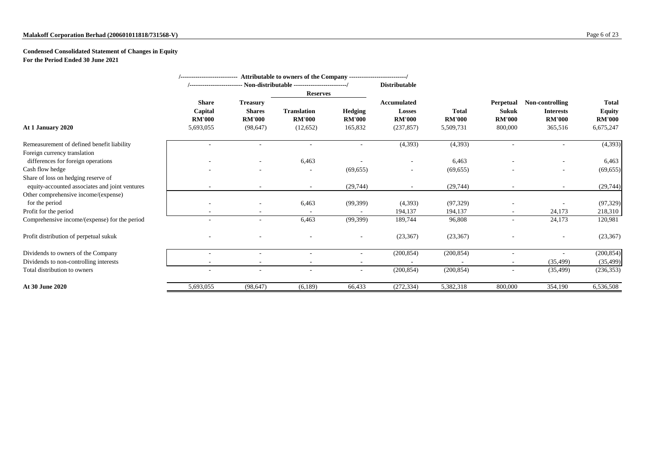## **Malakoff Corporation Berhad (200601011818/731568-V)** Page 6 of 23

# **Condensed Consolidated Statement of Changes in Equity For the Period Ended 30 June 2021**

|                                                |                                                       |                                                                | /--------------------------- Attributable to owners of the Company -------------------------/ |                                            |                                                             |                                            |                                                       |                                                                 |                                                             |
|------------------------------------------------|-------------------------------------------------------|----------------------------------------------------------------|-----------------------------------------------------------------------------------------------|--------------------------------------------|-------------------------------------------------------------|--------------------------------------------|-------------------------------------------------------|-----------------------------------------------------------------|-------------------------------------------------------------|
|                                                |                                                       |                                                                |                                                                                               |                                            | <b>Distributable</b>                                        |                                            |                                                       |                                                                 |                                                             |
|                                                |                                                       |                                                                | <b>Reserves</b>                                                                               |                                            |                                                             |                                            |                                                       |                                                                 |                                                             |
| At 1 January 2020                              | <b>Share</b><br>Capital<br><b>RM'000</b><br>5,693,055 | <b>Treasury</b><br><b>Shares</b><br><b>RM'000</b><br>(98, 647) | <b>Translation</b><br><b>RM'000</b><br>(12, 652)                                              | <b>Hedging</b><br><b>RM'000</b><br>165,832 | <b>Accumulated</b><br>Losses<br><b>RM'000</b><br>(237, 857) | <b>Total</b><br><b>RM'000</b><br>5,509,731 | Perpetual<br><b>Sukuk</b><br><b>RM'000</b><br>800,000 | Non-controlling<br><b>Interests</b><br><b>RM'000</b><br>365,516 | <b>Total</b><br><b>Equity</b><br><b>RM'000</b><br>6,675,247 |
| Remeasurement of defined benefit liability     |                                                       |                                                                |                                                                                               |                                            | (4, 393)                                                    | (4,393)                                    |                                                       |                                                                 | (4,393)                                                     |
| Foreign currency translation                   |                                                       |                                                                |                                                                                               |                                            |                                                             |                                            |                                                       |                                                                 |                                                             |
| differences for foreign operations             |                                                       |                                                                | 6,463                                                                                         |                                            |                                                             | 6,463                                      |                                                       |                                                                 | 6,463                                                       |
| Cash flow hedge                                |                                                       |                                                                |                                                                                               | (69, 655)                                  |                                                             | (69, 655)                                  |                                                       |                                                                 | (69, 655)                                                   |
| Share of loss on hedging reserve of            |                                                       |                                                                |                                                                                               |                                            |                                                             |                                            |                                                       |                                                                 |                                                             |
| equity-accounted associates and joint ventures |                                                       |                                                                |                                                                                               | (29,744)                                   |                                                             | (29, 744)                                  |                                                       | $\overline{\phantom{a}}$                                        | (29, 744)                                                   |
| Other comprehensive income/(expense)           |                                                       |                                                                |                                                                                               |                                            |                                                             |                                            |                                                       |                                                                 |                                                             |
| for the period                                 |                                                       |                                                                | 6,463                                                                                         | (99,399)                                   | (4,393)                                                     | (97, 329)                                  |                                                       |                                                                 | (97, 329)                                                   |
| Profit for the period                          |                                                       |                                                                |                                                                                               |                                            | 194,137                                                     | 194,137                                    |                                                       | 24,173                                                          | 218,310                                                     |
| Comprehensive income/(expense) for the period  |                                                       |                                                                | 6,463                                                                                         | (99, 399)                                  | 189,744                                                     | 96,808                                     |                                                       | 24,173                                                          | 120,981                                                     |
| Profit distribution of perpetual sukuk         |                                                       |                                                                |                                                                                               | $\overline{\phantom{a}}$                   | (23, 367)                                                   | (23, 367)                                  |                                                       | $\overline{\phantom{a}}$                                        | (23, 367)                                                   |
| Dividends to owners of the Company             |                                                       |                                                                |                                                                                               |                                            | (200, 854)                                                  | (200, 854)                                 |                                                       |                                                                 | (200, 854)                                                  |
| Dividends to non-controlling interests         |                                                       |                                                                | $\overline{\phantom{a}}$                                                                      | $\overline{\phantom{a}}$                   |                                                             |                                            |                                                       | (35, 499)                                                       | (35, 499)                                                   |
| Total distribution to owners                   |                                                       |                                                                |                                                                                               |                                            | (200, 854)                                                  | (200, 854)                                 |                                                       | (35, 499)                                                       | (236, 353)                                                  |
| At 30 June 2020                                | 5,693,055                                             | (98, 647)                                                      | (6,189)                                                                                       | 66,433                                     | (272, 334)                                                  | 5,382,318                                  | 800,000                                               | 354,190                                                         | 6,536,508                                                   |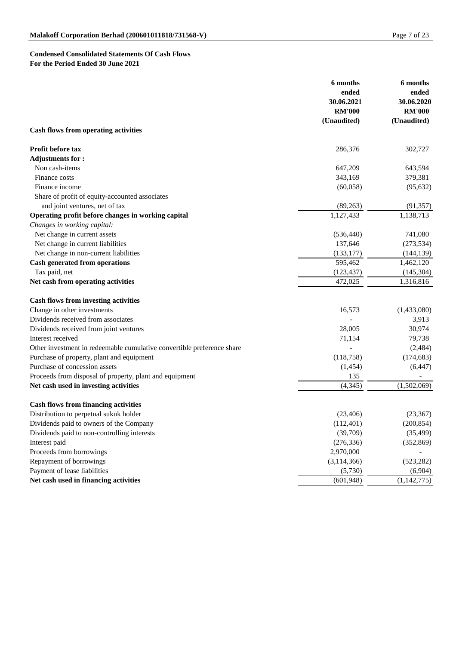# **Condensed Consolidated Statements Of Cash Flows For the Period Ended 30 June 2021**

|                                                                        | 6 months<br>ended | 6 months<br>ended |
|------------------------------------------------------------------------|-------------------|-------------------|
|                                                                        | 30.06.2021        | 30.06.2020        |
|                                                                        | <b>RM'000</b>     | <b>RM'000</b>     |
|                                                                        | (Unaudited)       | (Unaudited)       |
| <b>Cash flows from operating activities</b>                            |                   |                   |
| Profit before tax                                                      | 286,376           | 302,727           |
| <b>Adjustments for:</b>                                                |                   |                   |
| Non cash-items                                                         | 647,209           | 643,594           |
| Finance costs                                                          | 343,169           | 379,381           |
| Finance income                                                         | (60,058)          | (95, 632)         |
| Share of profit of equity-accounted associates                         |                   |                   |
| and joint ventures, net of tax                                         | (89,263)          | (91, 357)         |
| Operating profit before changes in working capital                     | 1,127,433         | 1,138,713         |
| Changes in working capital:                                            |                   |                   |
| Net change in current assets                                           | (536, 440)        | 741,080           |
| Net change in current liabilities                                      | 137,646           | (273, 534)        |
| Net change in non-current liabilities                                  | (133, 177)        | (144, 139)        |
| <b>Cash generated from operations</b>                                  | 595,462           | 1,462,120         |
| Tax paid, net                                                          | (123, 437)        | (145, 304)        |
| Net cash from operating activities                                     | 472,025           | 1,316,816         |
| <b>Cash flows from investing activities</b>                            |                   |                   |
| Change in other investments                                            | 16,573            | (1,433,080)       |
| Dividends received from associates                                     |                   | 3,913             |
| Dividends received from joint ventures                                 | 28,005            | 30,974            |
| Interest received                                                      | 71,154            | 79,738            |
| Other investment in redeemable cumulative convertible preference share |                   | (2,484)           |
| Purchase of property, plant and equipment                              | (118, 758)        | (174, 683)        |
| Purchase of concession assets                                          | (1,454)           | (6, 447)          |
| Proceeds from disposal of property, plant and equipment                | 135               |                   |
| Net cash used in investing activities                                  | (4, 345)          | (1,502,069)       |
| <b>Cash flows from financing activities</b>                            |                   |                   |
| Distribution to perpetual sukuk holder                                 | (23, 406)         | (23, 367)         |
| Dividends paid to owners of the Company                                | (112,401)         | (200, 854)        |
| Dividends paid to non-controlling interests                            | (39,709)          | (35, 499)         |
| Interest paid                                                          | (276, 336)        | (352, 869)        |
| Proceeds from borrowings                                               | 2,970,000         |                   |
| Repayment of borrowings                                                | (3,114,366)       | (523, 282)        |
| Payment of lease liabilities                                           | (5,730)           | (6,904)           |
| Net cash used in financing activities                                  | (601, 948)        | (1,142,775)       |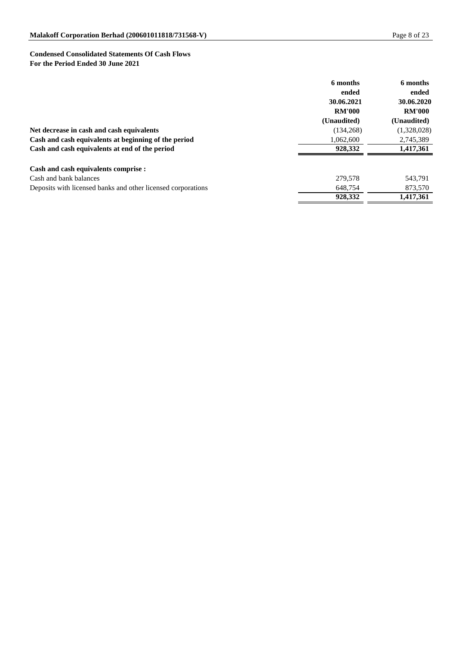# **Condensed Consolidated Statements Of Cash Flows For the Period Ended 30 June 2021**

|                                                              | 6 months      | 6 months      |
|--------------------------------------------------------------|---------------|---------------|
|                                                              | ended         | ended         |
|                                                              | 30.06.2021    | 30.06.2020    |
|                                                              | <b>RM'000</b> | <b>RM'000</b> |
|                                                              | (Unaudited)   | (Unaudited)   |
| Net decrease in cash and cash equivalents                    | (134, 268)    | (1,328,028)   |
| Cash and cash equivalents at beginning of the period         | 1,062,600     | 2,745,389     |
| Cash and cash equivalents at end of the period               | 928,332       | 1,417,361     |
| Cash and cash equivalents comprise :                         |               |               |
| Cash and bank balances                                       | 279,578       | 543,791       |
| Deposits with licensed banks and other licensed corporations | 648,754       | 873,570       |
|                                                              | 928,332       | 1,417,361     |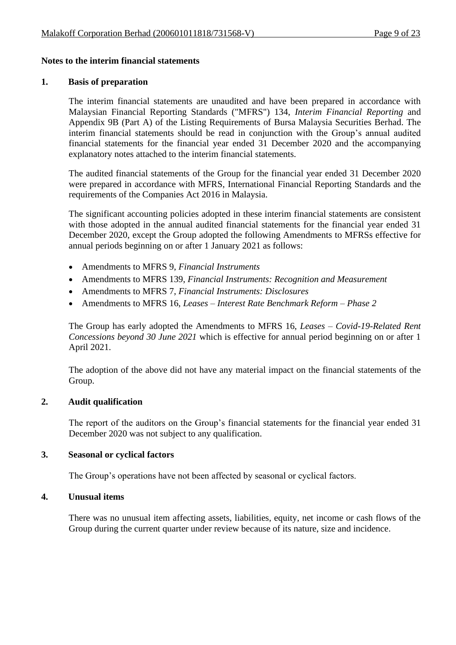### **Notes to the interim financial statements**

#### **1. Basis of preparation**

The interim financial statements are unaudited and have been prepared in accordance with Malaysian Financial Reporting Standards ("MFRS") 134, *Interim Financial Reporting* and Appendix 9B (Part A) of the Listing Requirements of Bursa Malaysia Securities Berhad. The interim financial statements should be read in conjunction with the Group's annual audited financial statements for the financial year ended 31 December 2020 and the accompanying explanatory notes attached to the interim financial statements.

The audited financial statements of the Group for the financial year ended 31 December 2020 were prepared in accordance with MFRS, International Financial Reporting Standards and the requirements of the Companies Act 2016 in Malaysia.

The significant accounting policies adopted in these interim financial statements are consistent with those adopted in the annual audited financial statements for the financial year ended 31 December 2020, except the Group adopted the following Amendments to MFRSs effective for annual periods beginning on or after 1 January 2021 as follows:

- Amendments to MFRS 9, *Financial Instruments*
- Amendments to MFRS 139, *Financial Instruments: Recognition and Measurement*
- Amendments to MFRS 7, *Financial Instruments: Disclosures*
- Amendments to MFRS 16, *Leases – Interest Rate Benchmark Reform – Phase 2*

The Group has early adopted the Amendments to MFRS 16, *Leases – Covid-19-Related Rent Concessions beyond 30 June 2021* which is effective for annual period beginning on or after 1 April 2021.

The adoption of the above did not have any material impact on the financial statements of the Group.

### **2. Audit qualification**

The report of the auditors on the Group's financial statements for the financial year ended 31 December 2020 was not subject to any qualification.

### **3. Seasonal or cyclical factors**

The Group's operations have not been affected by seasonal or cyclical factors.

### **4. Unusual items**

There was no unusual item affecting assets, liabilities, equity, net income or cash flows of the Group during the current quarter under review because of its nature, size and incidence.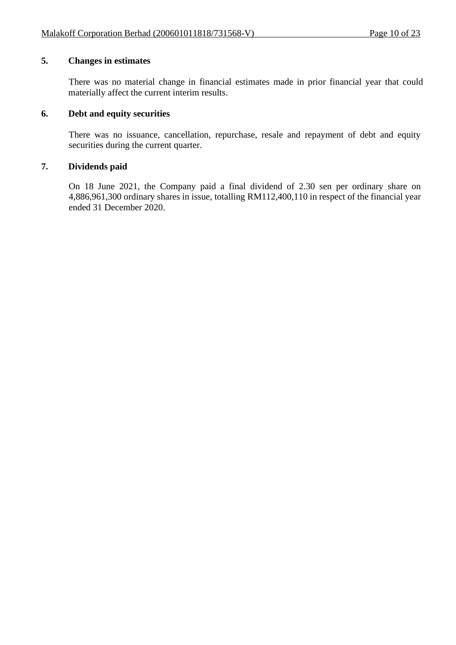# **5. Changes in estimates**

There was no material change in financial estimates made in prior financial year that could materially affect the current interim results.

## **6. Debt and equity securities**

There was no issuance, cancellation, repurchase, resale and repayment of debt and equity securities during the current quarter.

## **7. Dividends paid**

On 18 June 2021, the Company paid a final dividend of 2.30 sen per ordinary share on 4,886,961,300 ordinary shares in issue, totalling RM112,400,110 in respect of the financial year ended 31 December 2020.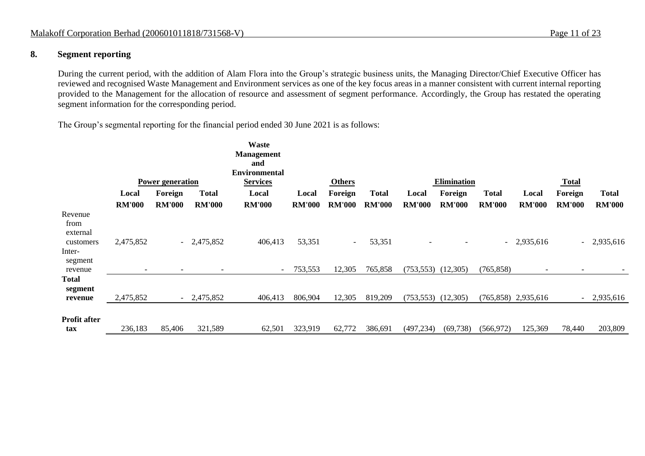## **8. Segment reporting**

During the current period, with the addition of Alam Flora into the Group's strategic business units, the Managing Director/Chief Executive Officer has reviewed and recognised Waste Management and Environment services as one of the key focus areas in a manner consistent with current internal reporting provided to the Management for the allocation of resource and assessment of segment performance. Accordingly, the Group has restated the operating segment information for the corresponding period.

The Group's segmental reporting for the financial period ended 30 June 2021 is as follows:

|                                          |                          |                         |                          | Waste<br><b>Management</b><br>and<br><b>Environmental</b> |               |               |               |               |                    |               |                          |                          |               |
|------------------------------------------|--------------------------|-------------------------|--------------------------|-----------------------------------------------------------|---------------|---------------|---------------|---------------|--------------------|---------------|--------------------------|--------------------------|---------------|
|                                          |                          | <b>Power generation</b> |                          | <b>Services</b>                                           |               | <b>Others</b> |               |               | <b>Elimination</b> |               |                          | <b>Total</b>             |               |
|                                          | Local                    | Foreign                 | <b>Total</b>             | Local                                                     | Local         | Foreign       | <b>Total</b>  | Local         | Foreign            | <b>Total</b>  | Local                    | Foreign                  | <b>Total</b>  |
|                                          | <b>RM'000</b>            | <b>RM'000</b>           | <b>RM'000</b>            | <b>RM'000</b>                                             | <b>RM'000</b> | <b>RM'000</b> | <b>RM'000</b> | <b>RM'000</b> | <b>RM'000</b>      | <b>RM'000</b> | <b>RM'000</b>            | <b>RM'000</b>            | <b>RM'000</b> |
| Revenue<br>from<br>external<br>customers | 2,475,852                | $\sim$                  | 2,475,852                | 406,413                                                   | 53,351        | $\sim$        | 53,351        |               |                    |               | $-2,935,616$             |                          | $-2,935,616$  |
| Inter-<br>segment<br>revenue             | $\overline{\phantom{0}}$ |                         | $\overline{\phantom{a}}$ | $\overline{\phantom{a}}$                                  | 753,553       | 12,305        | 765,858       | (753, 553)    | (12,305)           | (765, 858)    | $\overline{\phantom{a}}$ | $\overline{\phantom{a}}$ |               |
| Total<br>segment<br>revenue              | 2,475,852                |                         | 2,475,852                | 406,413                                                   | 806,904       | 12,305        | 819,209       | (753, 553)    | (12,305)           |               | $(765,858)$ 2,935,616    | $\sim$                   | 2,935,616     |
| Profit after<br>tax                      | 236,183                  | 85,406                  | 321,589                  | 62,501                                                    | 323,919       | 62,772        | 386,691       | (497, 234)    | (69, 738)          | (566, 972)    | 125,369                  | 78,440                   | 203,809       |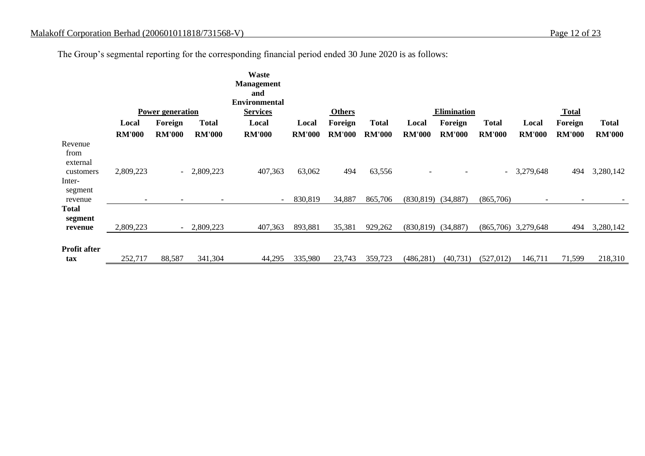The Group's segmental reporting for the corresponding financial period ended 30 June 2020 is as follows:

|                                          |                          |                          |               | <b>Waste</b><br><b>Management</b>       |               |               |               |                        |                    |                          |                       |                          |               |
|------------------------------------------|--------------------------|--------------------------|---------------|-----------------------------------------|---------------|---------------|---------------|------------------------|--------------------|--------------------------|-----------------------|--------------------------|---------------|
|                                          |                          |                          |               | and                                     |               |               |               |                        |                    |                          |                       |                          |               |
|                                          |                          | <b>Power generation</b>  |               | <b>Environmental</b><br><b>Services</b> |               | <b>Others</b> |               |                        | <b>Elimination</b> |                          |                       | <b>Total</b>             |               |
|                                          | Local                    | Foreign                  | <b>Total</b>  | Local                                   | Local         | Foreign       | <b>Total</b>  | Local                  | Foreign            | <b>Total</b>             | Local                 | Foreign                  | <b>Total</b>  |
|                                          | <b>RM'000</b>            | <b>RM'000</b>            | <b>RM'000</b> | <b>RM'000</b>                           | <b>RM'000</b> | <b>RM'000</b> | <b>RM'000</b> | <b>RM'000</b>          | <b>RM'000</b>      | <b>RM'000</b>            | <b>RM'000</b>         | <b>RM'000</b>            | <b>RM'000</b> |
| Revenue<br>from<br>external<br>customers | 2,809,223                | $\sim$ $-$               | 2,809,223     | 407,363                                 | 63,062        | 494           | 63,556        |                        |                    | $\overline{\phantom{a}}$ | 3,279,648             | 494                      | 3,280,142     |
| Inter-<br>segment<br>revenue             | $\overline{\phantom{a}}$ |                          |               |                                         | 830,819       | 34,887        | 865,706       | $(830,819)$ $(34,887)$ |                    | (865,706)                |                       | $\overline{\phantom{a}}$ |               |
| <b>Total</b><br>segment<br>revenue       | 2,809,223                | $\overline{\phantom{0}}$ | 2,809,223     | 407,363                                 | 893,881       | 35,381        | 929,262       | $(830,819)$ $(34,887)$ |                    |                          | $(865,706)$ 3,279,648 | 494                      | 3,280,142     |
| <b>Profit after</b><br>tax               | 252,717                  | 88,587                   | 341,304       | 44,295                                  | 335,980       | 23,743        | 359,723       | (486, 281)             | (40, 731)          | (527, 012)               | 146,711               | 71,599                   | 218,310       |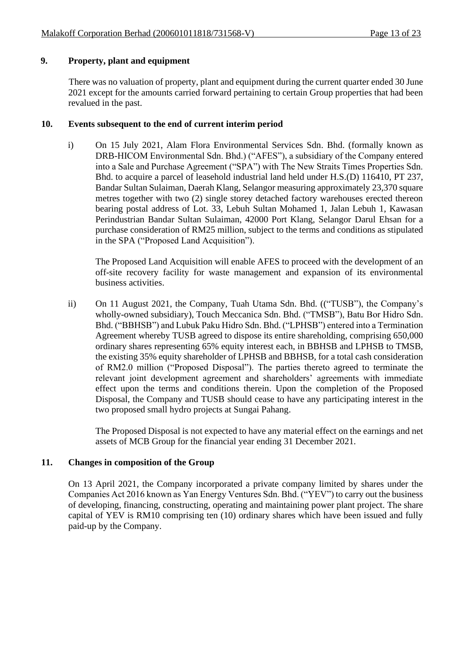# **9. Property, plant and equipment**

There was no valuation of property, plant and equipment during the current quarter ended 30 June 2021 except for the amounts carried forward pertaining to certain Group properties that had been revalued in the past.

# **10. Events subsequent to the end of current interim period**

i) On 15 July 2021, Alam Flora Environmental Services Sdn. Bhd. (formally known as DRB-HICOM Environmental Sdn. Bhd.) ("AFES"), a subsidiary of the Company entered into a Sale and Purchase Agreement ("SPA") with The New Straits Times Properties Sdn. Bhd. to acquire a parcel of leasehold industrial land held under H.S.(D) 116410, PT 237, Bandar Sultan Sulaiman, Daerah Klang, Selangor measuring approximately 23,370 square metres together with two (2) single storey detached factory warehouses erected thereon bearing postal address of Lot. 33, Lebuh Sultan Mohamed 1, Jalan Lebuh 1, Kawasan Perindustrian Bandar Sultan Sulaiman, 42000 Port Klang, Selangor Darul Ehsan for a purchase consideration of RM25 million, subject to the terms and conditions as stipulated in the SPA ("Proposed Land Acquisition").

The Proposed Land Acquisition will enable AFES to proceed with the development of an off-site recovery facility for waste management and expansion of its environmental business activities.

ii) On 11 August 2021, the Company, Tuah Utama Sdn. Bhd. (("TUSB"), the Company's wholly-owned subsidiary), Touch Meccanica Sdn. Bhd. ("TMSB"), Batu Bor Hidro Sdn. Bhd. ("BBHSB") and Lubuk Paku Hidro Sdn. Bhd. ("LPHSB") entered into a Termination Agreement whereby TUSB agreed to dispose its entire shareholding, comprising 650,000 ordinary shares representing 65% equity interest each, in BBHSB and LPHSB to TMSB, the existing 35% equity shareholder of LPHSB and BBHSB, for a total cash consideration of RM2.0 million ("Proposed Disposal"). The parties thereto agreed to terminate the relevant joint development agreement and shareholders' agreements with immediate effect upon the terms and conditions therein. Upon the completion of the Proposed Disposal, the Company and TUSB should cease to have any participating interest in the two proposed small hydro projects at Sungai Pahang.

The Proposed Disposal is not expected to have any material effect on the earnings and net assets of MCB Group for the financial year ending 31 December 2021.

# **11. Changes in composition of the Group**

On 13 April 2021, the Company incorporated a private company limited by shares under the Companies Act 2016 known as Yan Energy Ventures Sdn. Bhd. ("YEV") to carry out the business of developing, financing, constructing, operating and maintaining power plant project. The share capital of YEV is RM10 comprising ten (10) ordinary shares which have been issued and fully paid-up by the Company.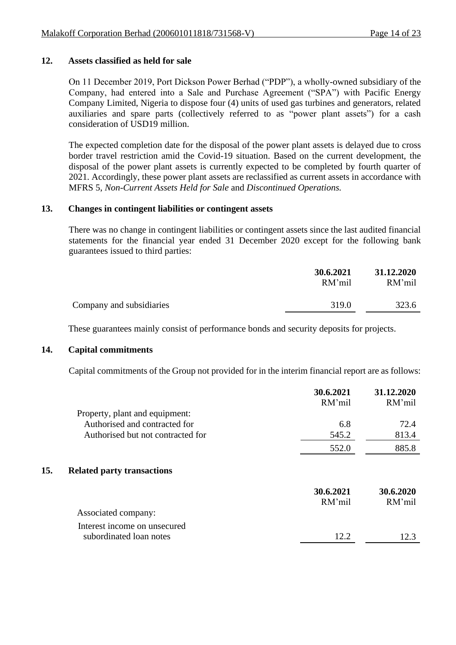## **12. Assets classified as held for sale**

On 11 December 2019, Port Dickson Power Berhad ("PDP"), a wholly-owned subsidiary of the Company, had entered into a Sale and Purchase Agreement ("SPA") with Pacific Energy Company Limited, Nigeria to dispose four (4) units of used gas turbines and generators, related auxiliaries and spare parts (collectively referred to as "power plant assets") for a cash consideration of USD19 million.

The expected completion date for the disposal of the power plant assets is delayed due to cross border travel restriction amid the Covid-19 situation. Based on the current development, the disposal of the power plant assets is currently expected to be completed by fourth quarter of 2021. Accordingly, these power plant assets are reclassified as current assets in accordance with MFRS 5, *Non-Current Assets Held for Sale* and *Discontinued Operations.*

## **13. Changes in contingent liabilities or contingent assets**

There was no change in contingent liabilities or contingent assets since the last audited financial statements for the financial year ended 31 December 2020 except for the following bank guarantees issued to third parties:

|                          | 30.6.2021<br>RM'mil | 31.12.2020<br>RM'mil |
|--------------------------|---------------------|----------------------|
| Company and subsidiaries | 319.0               | 323.6                |

These guarantees mainly consist of performance bonds and security deposits for projects.

### **14. Capital commitments**

Capital commitments of the Group not provided for in the interim financial report are as follows:

|                                          | 30.6.2021<br>RM'mil | 31.12.2020<br>RM'mil |
|------------------------------------------|---------------------|----------------------|
| Property, plant and equipment:           |                     |                      |
| Authorised and contracted for            | 6.8                 | 72.4                 |
| Authorised but not contracted for        | 545.2               | 813.4                |
|                                          | 552.0               | 885.8                |
| 15.<br><b>Related party transactions</b> |                     |                      |
|                                          | 30.6.2021           | 30.6.2020            |
|                                          | RM'mil              | RM'mil               |
| Associated company:                      |                     |                      |
| Interest income on unsecured             |                     |                      |
| subordinated loan notes                  | 12.2                | 12.3                 |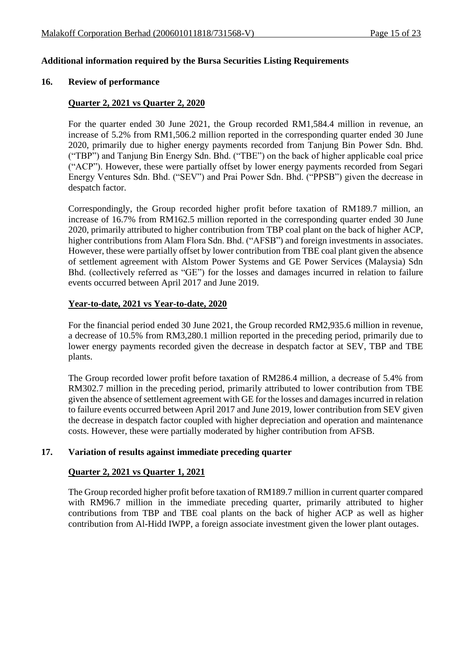## **Additional information required by the Bursa Securities Listing Requirements**

#### **16. Review of performance**

### **Quarter 2, 2021 vs Quarter 2, 2020**

For the quarter ended 30 June 2021, the Group recorded RM1,584.4 million in revenue, an increase of 5.2% from RM1,506.2 million reported in the corresponding quarter ended 30 June 2020, primarily due to higher energy payments recorded from Tanjung Bin Power Sdn. Bhd. ("TBP") and Tanjung Bin Energy Sdn. Bhd. ("TBE") on the back of higher applicable coal price ("ACP"). However, these were partially offset by lower energy payments recorded from Segari Energy Ventures Sdn. Bhd. ("SEV") and Prai Power Sdn. Bhd. ("PPSB") given the decrease in despatch factor.

Correspondingly, the Group recorded higher profit before taxation of RM189.7 million, an increase of 16.7% from RM162.5 million reported in the corresponding quarter ended 30 June 2020, primarily attributed to higher contribution from TBP coal plant on the back of higher ACP, higher contributions from Alam Flora Sdn. Bhd. ("AFSB") and foreign investments in associates. However, these were partially offset by lower contribution from TBE coal plant given the absence of settlement agreement with Alstom Power Systems and GE Power Services (Malaysia) Sdn Bhd. (collectively referred as "GE") for the losses and damages incurred in relation to failure events occurred between April 2017 and June 2019.

### **Year-to-date, 2021 vs Year-to-date, 2020**

For the financial period ended 30 June 2021, the Group recorded RM2,935.6 million in revenue, a decrease of 10.5% from RM3,280.1 million reported in the preceding period, primarily due to lower energy payments recorded given the decrease in despatch factor at SEV, TBP and TBE plants.

The Group recorded lower profit before taxation of RM286.4 million, a decrease of 5.4% from RM302.7 million in the preceding period, primarily attributed to lower contribution from TBE given the absence of settlement agreement with GE for the losses and damages incurred in relation to failure events occurred between April 2017 and June 2019, lower contribution from SEV given the decrease in despatch factor coupled with higher depreciation and operation and maintenance costs. However, these were partially moderated by higher contribution from AFSB.

### **17. Variation of results against immediate preceding quarter**

### **Quarter 2, 2021 vs Quarter 1, 2021**

The Group recorded higher profit before taxation of RM189.7 million in current quarter compared with RM96.7 million in the immediate preceding quarter, primarily attributed to higher contributions from TBP and TBE coal plants on the back of higher ACP as well as higher contribution from Al-Hidd IWPP, a foreign associate investment given the lower plant outages.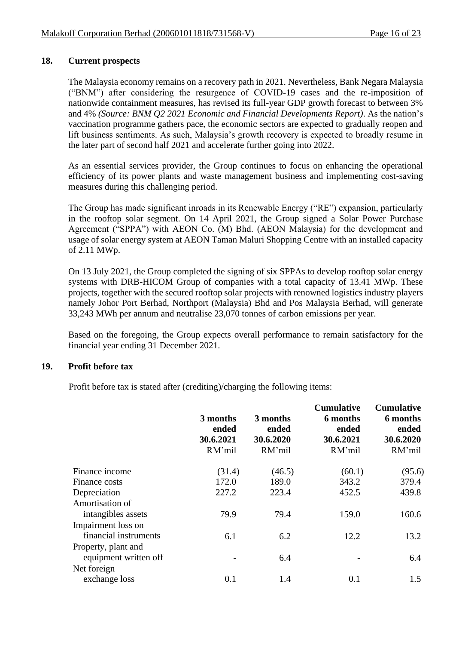# **18. Current prospects**

The Malaysia economy remains on a recovery path in 2021. Nevertheless, Bank Negara Malaysia ("BNM") after considering the resurgence of COVID-19 cases and the re-imposition of nationwide containment measures, has revised its full-year GDP growth forecast to between 3% and 4% *(Source: BNM Q2 2021 Economic and Financial Developments Report)*. As the nation's vaccination programme gathers pace, the economic sectors are expected to gradually reopen and lift business sentiments. As such, Malaysia's growth recovery is expected to broadly resume in the later part of second half 2021 and accelerate further going into 2022.

As an essential services provider, the Group continues to focus on enhancing the operational efficiency of its power plants and waste management business and implementing cost-saving measures during this challenging period.

The Group has made significant inroads in its Renewable Energy ("RE") expansion, particularly in the rooftop solar segment. On 14 April 2021, the Group signed a Solar Power Purchase Agreement ("SPPA") with AEON Co. (M) Bhd. (AEON Malaysia) for the development and usage of solar energy system at AEON Taman Maluri Shopping Centre with an installed capacity of 2.11 MWp.

On 13 July 2021, the Group completed the signing of six SPPAs to develop rooftop solar energy systems with DRB-HICOM Group of companies with a total capacity of 13.41 MWp. These projects, together with the secured rooftop solar projects with renowned logistics industry players namely Johor Port Berhad, Northport (Malaysia) Bhd and Pos Malaysia Berhad, will generate 33,243 MWh per annum and neutralise 23,070 tonnes of carbon emissions per year.

Based on the foregoing, the Group expects overall performance to remain satisfactory for the financial year ending 31 December 2021.

### **19. Profit before tax**

Profit before tax is stated after (crediting)/charging the following items:

|                       | 3 months<br>ended<br>30.6.2021<br>RM'mil | 3 months<br>ended<br>30.6.2020<br>RM'mil | <b>Cumulative</b><br>6 months<br>ended<br>30.6.2021<br>RM'mil | <b>Cumulative</b><br>6 months<br>ended<br>30.6.2020<br>RM'mil |
|-----------------------|------------------------------------------|------------------------------------------|---------------------------------------------------------------|---------------------------------------------------------------|
| Finance income        | (31.4)                                   | (46.5)                                   | (60.1)                                                        | (95.6)                                                        |
| Finance costs         | 172.0                                    | 189.0                                    | 343.2                                                         | 379.4                                                         |
| Depreciation          | 227.2                                    | 223.4                                    | 452.5                                                         | 439.8                                                         |
| Amortisation of       |                                          |                                          |                                                               |                                                               |
| intangibles assets    | 79.9                                     | 79.4                                     | 159.0                                                         | 160.6                                                         |
| Impairment loss on    |                                          |                                          |                                                               |                                                               |
| financial instruments | 6.1                                      | 6.2                                      | 12.2                                                          | 13.2                                                          |
| Property, plant and   |                                          |                                          |                                                               |                                                               |
| equipment written off |                                          | 6.4                                      |                                                               | 6.4                                                           |
| Net foreign           |                                          |                                          |                                                               |                                                               |
| exchange loss         | 0.1                                      | 1.4                                      | 0.1                                                           | 1.5                                                           |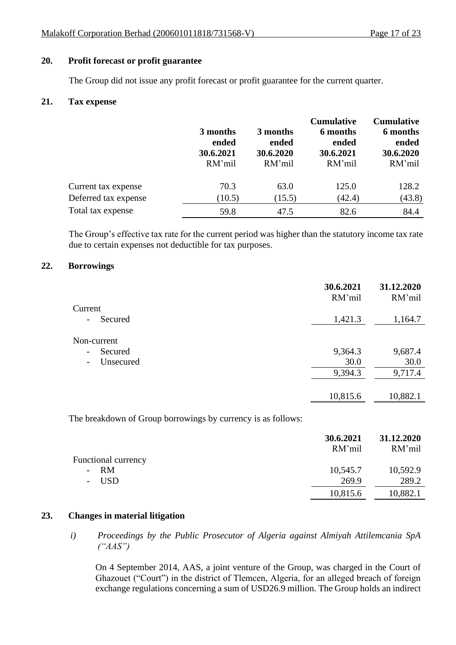## **20. Profit forecast or profit guarantee**

The Group did not issue any profit forecast or profit guarantee for the current quarter.

### **21. Tax expense**

|                      | 3 months<br>ended<br>30.6.2021<br>RM'mil | 3 months<br>ended<br>30.6.2020<br>RM'mil | <b>Cumulative</b><br>6 months<br>ended<br>30.6.2021<br>RM'mil | <b>Cumulative</b><br>6 months<br>ended<br>30.6.2020<br>RM'mil |
|----------------------|------------------------------------------|------------------------------------------|---------------------------------------------------------------|---------------------------------------------------------------|
| Current tax expense  | 70.3                                     | 63.0                                     | 125.0                                                         | 128.2                                                         |
| Deferred tax expense | (10.5)                                   | (15.5)                                   | (42.4)                                                        | (43.8)                                                        |
| Total tax expense    | 59.8                                     | 47.5                                     | 82.6                                                          | 84.4                                                          |

The Group's effective tax rate for the current period was higher than the statutory income tax rate due to certain expenses not deductible for tax purposes.

### **22. Borrowings**

|                                     | 30.6.2021<br>RM'mil | 31.12.2020<br>RM'mil |
|-------------------------------------|---------------------|----------------------|
| Current                             |                     |                      |
| Secured<br>$\overline{\phantom{a}}$ | 1,421.3             | 1,164.7              |
| Non-current                         |                     |                      |
| Secured<br>$\overline{\phantom{a}}$ | 9,364.3             | 9,687.4              |
| Unsecured<br>$\qquad \qquad -$      | 30.0                | 30.0                 |
|                                     | 9,394.3             | 9,717.4              |
|                                     |                     |                      |
|                                     | 10,815.6            | 10,882.1             |

The breakdown of Group borrowings by currency is as follows:

|                            | 30.6.2021 | 31.12.2020 |
|----------------------------|-----------|------------|
|                            | RM'mil    | RM'mil     |
| <b>Functional currency</b> |           |            |
| - RM                       | 10,545.7  | 10,592.9   |
| - USD                      | 269.9     | 289.2      |
|                            | 10,815.6  | 10,882.1   |

# **23. Changes in material litigation**

*i) Proceedings by the Public Prosecutor of Algeria against Almiyah Attilemcania SpA ("AAS")*

On 4 September 2014, AAS, a joint venture of the Group, was charged in the Court of Ghazouet ("Court") in the district of Tlemcen, Algeria, for an alleged breach of foreign exchange regulations concerning a sum of USD26.9 million. The Group holds an indirect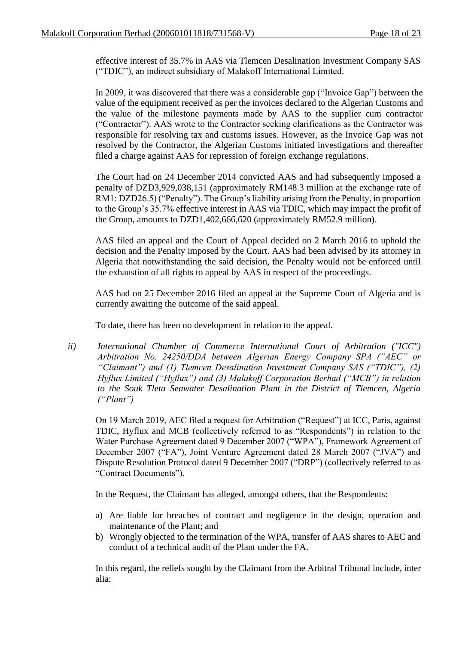effective interest of 35.7% in AAS via Tlemcen Desalination Investment Company SAS ("TDIC"), an indirect subsidiary of Malakoff International Limited.

In 2009, it was discovered that there was a considerable gap ("Invoice Gap") between the value of the equipment received as per the invoices declared to the Algerian Customs and the value of the milestone payments made by AAS to the supplier cum contractor ("Contractor"). AAS wrote to the Contractor seeking clarifications as the Contractor was responsible for resolving tax and customs issues. However, as the Invoice Gap was not resolved by the Contractor, the Algerian Customs initiated investigations and thereafter filed a charge against AAS for repression of foreign exchange regulations.

The Court had on 24 December 2014 convicted AAS and had subsequently imposed a penalty of DZD3,929,038,151 (approximately RM148.3 million at the exchange rate of RM1: DZD26.5) ("Penalty"). The Group's liability arising from the Penalty, in proportion to the Group's 35.7% effective interest in AAS via TDIC, which may impact the profit of the Group, amounts to DZD1,402,666,620 (approximately RM52.9 million).

AAS filed an appeal and the Court of Appeal decided on 2 March 2016 to uphold the decision and the Penalty imposed by the Court. AAS had been advised by its attorney in Algeria that notwithstanding the said decision, the Penalty would not be enforced until the exhaustion of all rights to appeal by AAS in respect of the proceedings.

AAS had on 25 December 2016 filed an appeal at the Supreme Court of Algeria and is currently awaiting the outcome of the said appeal.

To date, there has been no development in relation to the appeal.

*ii) International Chamber of Commerce International Court of Arbitration ("ICC") Arbitration No. 24250/DDA between Algerian Energy Company SPA ("AEC" or "Claimant") and (1) Tlemcen Desalination Investment Company SAS ("TDIC"), (2) Hyflux Limited ("Hyflux") and (3) Malakoff Corporation Berhad ("MCB") in relation to the Souk Tleta Seawater Desalination Plant in the District of Tlemcen, Algeria ("Plant")*

On 19 March 2019, AEC filed a request for Arbitration ("Request") at ICC, Paris, against TDIC, Hyflux and MCB (collectively referred to as "Respondents") in relation to the Water Purchase Agreement dated 9 December 2007 ("WPA"), Framework Agreement of December 2007 ("FA"), Joint Venture Agreement dated 28 March 2007 ("JVA") and Dispute Resolution Protocol dated 9 December 2007 ("DRP") (collectively referred to as "Contract Documents").

In the Request, the Claimant has alleged, amongst others, that the Respondents:

- a) Are liable for breaches of contract and negligence in the design, operation and maintenance of the Plant; and
- b) Wrongly objected to the termination of the WPA, transfer of AAS shares to AEC and conduct of a technical audit of the Plant under the FA.

In this regard, the reliefs sought by the Claimant from the Arbitral Tribunal include, inter alia: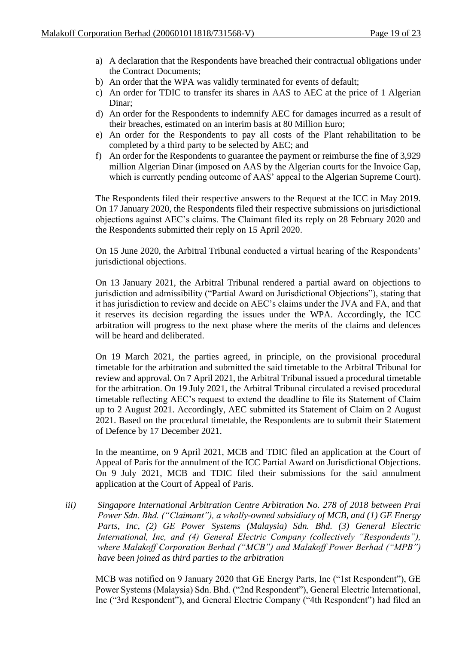- a) A declaration that the Respondents have breached their contractual obligations under the Contract Documents;
- b) An order that the WPA was validly terminated for events of default;
- c) An order for TDIC to transfer its shares in AAS to AEC at the price of 1 Algerian Dinar;
- d) An order for the Respondents to indemnify AEC for damages incurred as a result of their breaches, estimated on an interim basis at 80 Million Euro;
- e) An order for the Respondents to pay all costs of the Plant rehabilitation to be completed by a third party to be selected by AEC; and
- f) An order for the Respondents to guarantee the payment or reimburse the fine of 3,929 million Algerian Dinar (imposed on AAS by the Algerian courts for the Invoice Gap, which is currently pending outcome of AAS' appeal to the Algerian Supreme Court).

The Respondents filed their respective answers to the Request at the ICC in May 2019. On 17 January 2020, the Respondents filed their respective submissions on jurisdictional objections against AEC's claims. The Claimant filed its reply on 28 February 2020 and the Respondents submitted their reply on 15 April 2020.

On 15 June 2020, the Arbitral Tribunal conducted a virtual hearing of the Respondents' jurisdictional objections.

On 13 January 2021, the Arbitral Tribunal rendered a partial award on objections to jurisdiction and admissibility ("Partial Award on Jurisdictional Objections"), stating that it has jurisdiction to review and decide on AEC's claims under the JVA and FA, and that it reserves its decision regarding the issues under the WPA. Accordingly, the ICC arbitration will progress to the next phase where the merits of the claims and defences will be heard and deliberated.

On 19 March 2021, the parties agreed, in principle, on the provisional procedural timetable for the arbitration and submitted the said timetable to the Arbitral Tribunal for review and approval. On 7 April 2021, the Arbitral Tribunal issued a procedural timetable for the arbitration. On 19 July 2021, the Arbitral Tribunal circulated a revised procedural timetable reflecting AEC's request to extend the deadline to file its Statement of Claim up to 2 August 2021. Accordingly, AEC submitted its Statement of Claim on 2 August 2021. Based on the procedural timetable, the Respondents are to submit their Statement of Defence by 17 December 2021.

In the meantime, on 9 April 2021, MCB and TDIC filed an application at the Court of Appeal of Paris for the annulment of the ICC Partial Award on Jurisdictional Objections. On 9 July 2021, MCB and TDIC filed their submissions for the said annulment application at the Court of Appeal of Paris.

*iii) Singapore International Arbitration Centre Arbitration No. 278 of 2018 between Prai Power Sdn. Bhd. ("Claimant"), a wholly-owned subsidiary of MCB, and (1) GE Energy Parts, Inc, (2) GE Power Systems (Malaysia) Sdn. Bhd. (3) General Electric International, Inc, and (4) General Electric Company (collectively "Respondents"), where Malakoff Corporation Berhad ("MCB") and Malakoff Power Berhad ("MPB") have been joined as third parties to the arbitration*

MCB was notified on 9 January 2020 that GE Energy Parts, Inc ("1st Respondent"), GE Power Systems (Malaysia) Sdn. Bhd. ("2nd Respondent"), General Electric International, Inc ("3rd Respondent"), and General Electric Company ("4th Respondent") had filed an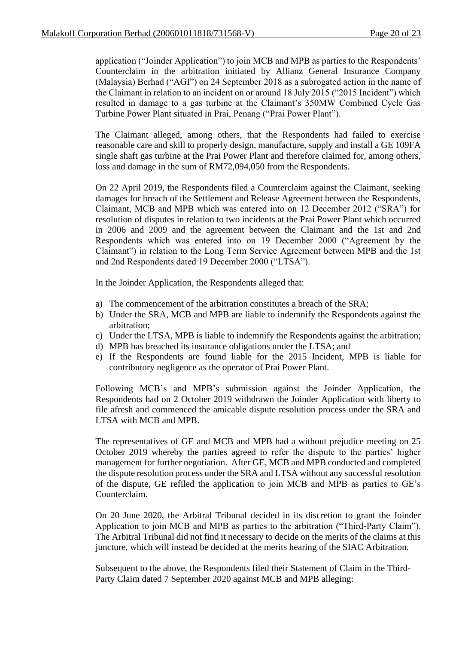application ("Joinder Application") to join MCB and MPB as parties to the Respondents' Counterclaim in the arbitration initiated by Allianz General Insurance Company (Malaysia) Berhad ("AGI") on 24 September 2018 as a subrogated action in the name of the Claimant in relation to an incident on or around 18 July 2015 ("2015 Incident") which resulted in damage to a gas turbine at the Claimant's 350MW Combined Cycle Gas Turbine Power Plant situated in Prai, Penang ("Prai Power Plant").

The Claimant alleged, among others, that the Respondents had failed to exercise reasonable care and skill to properly design, manufacture, supply and install a GE 109FA single shaft gas turbine at the Prai Power Plant and therefore claimed for, among others, loss and damage in the sum of RM72,094,050 from the Respondents.

On 22 April 2019, the Respondents filed a Counterclaim against the Claimant, seeking damages for breach of the Settlement and Release Agreement between the Respondents, Claimant, MCB and MPB which was entered into on 12 December 2012 ("SRA") for resolution of disputes in relation to two incidents at the Prai Power Plant which occurred in 2006 and 2009 and the agreement between the Claimant and the 1st and 2nd Respondents which was entered into on 19 December 2000 ("Agreement by the Claimant") in relation to the Long Term Service Agreement between MPB and the 1st and 2nd Respondents dated 19 December 2000 ("LTSA").

In the Joinder Application, the Respondents alleged that:

- a) The commencement of the arbitration constitutes a breach of the SRA;
- b) Under the SRA, MCB and MPB are liable to indemnify the Respondents against the arbitration;
- c) Under the LTSA, MPB is liable to indemnify the Respondents against the arbitration;
- d) MPB has breached its insurance obligations under the LTSA; and
- e) If the Respondents are found liable for the 2015 Incident, MPB is liable for contributory negligence as the operator of Prai Power Plant.

Following MCB's and MPB's submission against the Joinder Application, the Respondents had on 2 October 2019 withdrawn the Joinder Application with liberty to file afresh and commenced the amicable dispute resolution process under the SRA and LTSA with MCB and MPB.

The representatives of GE and MCB and MPB had a without prejudice meeting on 25 October 2019 whereby the parties agreed to refer the dispute to the parties' higher management for further negotiation. After GE, MCB and MPB conducted and completed the dispute resolution process under the SRA and LTSA without any successful resolution of the dispute, GE refiled the application to join MCB and MPB as parties to GE's Counterclaim.

On 20 June 2020, the Arbitral Tribunal decided in its discretion to grant the Joinder Application to join MCB and MPB as parties to the arbitration ("Third-Party Claim"). The Arbitral Tribunal did not find it necessary to decide on the merits of the claims at this juncture, which will instead be decided at the merits hearing of the SIAC Arbitration.

Subsequent to the above, the Respondents filed their Statement of Claim in the Third-Party Claim dated 7 September 2020 against MCB and MPB alleging: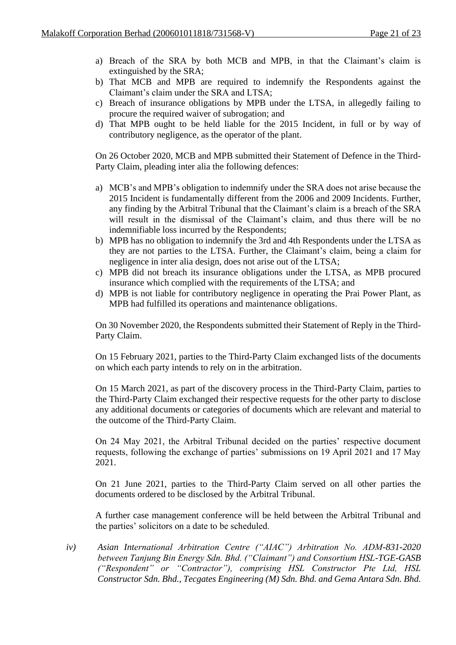- a) Breach of the SRA by both MCB and MPB, in that the Claimant's claim is extinguished by the SRA;
- b) That MCB and MPB are required to indemnify the Respondents against the Claimant's claim under the SRA and LTSA;
- c) Breach of insurance obligations by MPB under the LTSA, in allegedly failing to procure the required waiver of subrogation; and
- d) That MPB ought to be held liable for the 2015 Incident, in full or by way of contributory negligence, as the operator of the plant.

On 26 October 2020, MCB and MPB submitted their Statement of Defence in the Third-Party Claim, pleading inter alia the following defences:

- a) MCB's and MPB's obligation to indemnify under the SRA does not arise because the 2015 Incident is fundamentally different from the 2006 and 2009 Incidents. Further, any finding by the Arbitral Tribunal that the Claimant's claim is a breach of the SRA will result in the dismissal of the Claimant's claim, and thus there will be no indemnifiable loss incurred by the Respondents;
- b) MPB has no obligation to indemnify the 3rd and 4th Respondents under the LTSA as they are not parties to the LTSA. Further, the Claimant's claim, being a claim for negligence in inter alia design, does not arise out of the LTSA;
- c) MPB did not breach its insurance obligations under the LTSA, as MPB procured insurance which complied with the requirements of the LTSA; and
- d) MPB is not liable for contributory negligence in operating the Prai Power Plant, as MPB had fulfilled its operations and maintenance obligations.

On 30 November 2020, the Respondents submitted their Statement of Reply in the Third-Party Claim.

On 15 February 2021, parties to the Third-Party Claim exchanged lists of the documents on which each party intends to rely on in the arbitration.

On 15 March 2021, as part of the discovery process in the Third-Party Claim, parties to the Third-Party Claim exchanged their respective requests for the other party to disclose any additional documents or categories of documents which are relevant and material to the outcome of the Third-Party Claim.

On 24 May 2021, the Arbitral Tribunal decided on the parties' respective document requests, following the exchange of parties' submissions on 19 April 2021 and 17 May 2021.

On 21 June 2021, parties to the Third-Party Claim served on all other parties the documents ordered to be disclosed by the Arbitral Tribunal.

A further case management conference will be held between the Arbitral Tribunal and the parties' solicitors on a date to be scheduled.

*iv) Asian International Arbitration Centre ("AIAC") Arbitration No. ADM-831-2020 between Tanjung Bin Energy Sdn. Bhd. ("Claimant") and Consortium HSL-TGE-GASB ("Respondent" or "Contractor"), comprising HSL Constructor Pte Ltd, HSL Constructor Sdn. Bhd., Tecgates Engineering (M) Sdn. Bhd. and Gema Antara Sdn. Bhd.*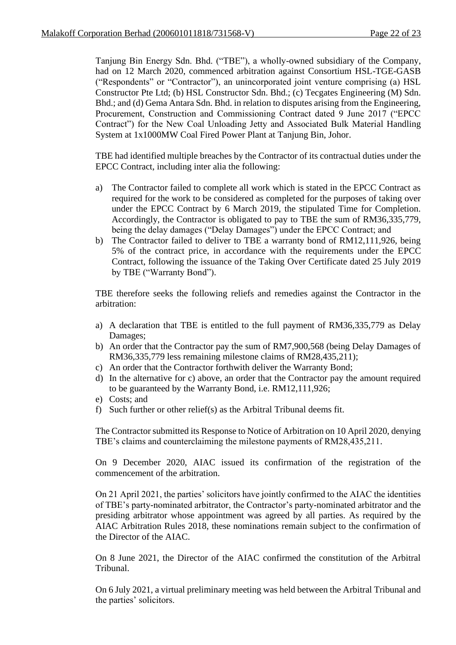Tanjung Bin Energy Sdn. Bhd. ("TBE"), a wholly-owned subsidiary of the Company, had on 12 March 2020, commenced arbitration against Consortium HSL-TGE-GASB ("Respondents" or "Contractor"), an unincorporated joint venture comprising (a) HSL Constructor Pte Ltd; (b) HSL Constructor Sdn. Bhd.; (c) Tecgates Engineering (M) Sdn. Bhd.; and (d) Gema Antara Sdn. Bhd. in relation to disputes arising from the Engineering, Procurement, Construction and Commissioning Contract dated 9 June 2017 ("EPCC Contract") for the New Coal Unloading Jetty and Associated Bulk Material Handling System at 1x1000MW Coal Fired Power Plant at Tanjung Bin, Johor.

TBE had identified multiple breaches by the Contractor of its contractual duties under the EPCC Contract, including inter alia the following:

- a) The Contractor failed to complete all work which is stated in the EPCC Contract as required for the work to be considered as completed for the purposes of taking over under the EPCC Contract by 6 March 2019, the stipulated Time for Completion. Accordingly, the Contractor is obligated to pay to TBE the sum of RM36,335,779, being the delay damages ("Delay Damages") under the EPCC Contract; and
- b) The Contractor failed to deliver to TBE a warranty bond of RM12,111,926, being 5% of the contract price, in accordance with the requirements under the EPCC Contract, following the issuance of the Taking Over Certificate dated 25 July 2019 by TBE ("Warranty Bond").

TBE therefore seeks the following reliefs and remedies against the Contractor in the arbitration:

- a) A declaration that TBE is entitled to the full payment of RM36,335,779 as Delay Damages;
- b) An order that the Contractor pay the sum of RM7,900,568 (being Delay Damages of RM36,335,779 less remaining milestone claims of RM28,435,211);
- c) An order that the Contractor forthwith deliver the Warranty Bond;
- d) In the alternative for c) above, an order that the Contractor pay the amount required to be guaranteed by the Warranty Bond, i.e. RM12,111,926;
- e) Costs; and
- f) Such further or other relief(s) as the Arbitral Tribunal deems fit.

The Contractor submitted its Response to Notice of Arbitration on 10 April 2020, denying TBE's claims and counterclaiming the milestone payments of RM28,435,211.

On 9 December 2020, AIAC issued its confirmation of the registration of the commencement of the arbitration.

On 21 April 2021, the parties' solicitors have jointly confirmed to the AIAC the identities of TBE's party-nominated arbitrator, the Contractor's party-nominated arbitrator and the presiding arbitrator whose appointment was agreed by all parties. As required by the AIAC Arbitration Rules 2018, these nominations remain subject to the confirmation of the Director of the AIAC.

On 8 June 2021, the Director of the AIAC confirmed the constitution of the Arbitral Tribunal.

On 6 July 2021, a virtual preliminary meeting was held between the Arbitral Tribunal and the parties' solicitors.